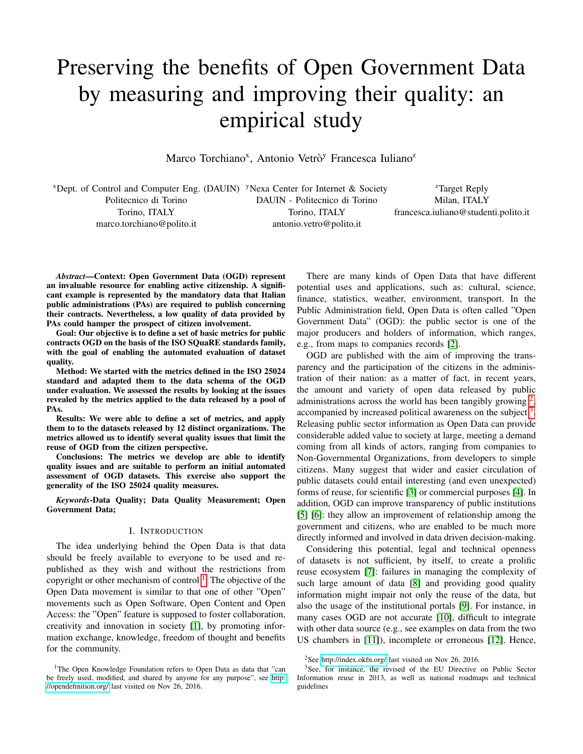# Preserving the benefits of Open Government Data by measuring and improving their quality: an empirical study

Marco Torchiano<sup>x</sup>, Antonio Vetrò<sup>y</sup> Francesca Iuliano<sup>z</sup>

<sup>x</sup>Dept. of Control and Computer Eng. (DAUIN) <sup>y</sup>Nexa Center for Internet & Society Politecnico di Torino Torino, ITALY marco.torchiano@polito.it DAUIN - Politecnico di Torino Torino, ITALY antonio.vetro@polito.it <sup>z</sup>Target Reply Milan, ITALY francesca.iuliano@studenti.polito.it

*Abstract*—Context: Open Government Data (OGD) represent an invaluable resource for enabling active citizenship. A significant example is represented by the mandatory data that Italian public administrations (PAs) are required to publish concerning their contracts. Nevertheless, a low quality of data provided by PAs could hamper the prospect of citizen involvement.

Goal: Our objective is to define a set of basic metrics for public contracts OGD on the basis of the ISO SQuaRE standards family, with the goal of enabling the automated evaluation of dataset quality.

Method: We started with the metrics defined in the ISO 25024 standard and adapted them to the data schema of the OGD under evaluation. We assessed the results by looking at the issues revealed by the metrics applied to the data released by a pool of PAs.

Results: We were able to define a set of metrics, and apply them to to the datasets released by 12 distinct organizations. The metrics allowed us to identify several quality issues that limit the reuse of OGD from the citizen perspective.

Conclusions: The metrics we develop are able to identify quality issues and are suitable to perform an initial automated assessment of OGD datasets. This exercise also support the generality of the ISO 25024 quality measures.

*Keywords*-Data Quality; Data Quality Measurement; Open Government Data;

# I. INTRODUCTION

The idea underlying behind the Open Data is that data should be freely available to everyone to be used and republished as they wish and without the restrictions from copyright or other mechanism of control  $<sup>1</sup>$  $<sup>1</sup>$  $<sup>1</sup>$ . The objective of the</sup> Open Data movement is similar to that one of other "Open" movements such as Open Software, Open Content and Open Access: the "Open" feature is supposed to foster collaboration, creativity and innovation in society [\[1\]](#page-6-0), by promoting information exchange, knowledge, freedom of thought and benefits for the community.

<span id="page-0-0"></span><sup>1</sup>The Open Knowledge Foundation refers to Open Data as data that "can be freely used, modified, and shared by anyone for any purpose", see [http:](http://opendefinition.org/) [//opendefinition.org/](http://opendefinition.org/) last visited on Nov 26, 2016.

There are many kinds of Open Data that have different potential uses and applications, such as: cultural, science, finance, statistics, weather, environment, transport. In the Public Administration field, Open Data is often called "Open Government Data" (OGD): the public sector is one of the major producers and holders of information, which ranges, e.g., from maps to companies records [\[2\]](#page-7-0).

OGD are published with the aim of improving the transparency and the participation of the citizens in the administration of their nation: as a matter of fact, in recent years, the amount and variety of open data released by public administrations across the world has been tangibly growing  $2$ , accompanied by increased political awareness on the subject<sup>[3](#page-0-2)</sup>. Releasing public sector information as Open Data can provide considerable added value to society at large, meeting a demand coming from all kinds of actors, ranging from companies to Non-Governmental Organizations, from developers to simple citizens. Many suggest that wider and easier circulation of public datasets could entail interesting (and even unexpected) forms of reuse, for scientific [\[3\]](#page-7-1) or commercial purposes [\[4\]](#page-7-2). In addition, OGD can improve transparency of public institutions [\[5\]](#page-7-3) [\[6\]](#page-7-4): they allow an improvement of relationship among the government and citizens, who are enabled to be much more directly informed and involved in data driven decision-making.

Considering this potential, legal and technical openness of datasets is not sufficient, by itself, to create a prolific reuse ecosystem [\[7\]](#page-7-5): failures in managing the complexity of such large amount of data [\[8\]](#page-7-6) and providing good quality information might impair not only the reuse of the data, but also the usage of the institutional portals [\[9\]](#page-7-7). For instance, in many cases OGD are not accurate [\[10\]](#page-7-8), difficult to integrate with other data source (e.g., see examples on data from the two US chambers in [\[11\]](#page-7-9)), incomplete or erroneous [\[12\]](#page-7-10). Hence,

<span id="page-0-2"></span><span id="page-0-1"></span><sup>2</sup>See<http://index.okfn.org/> last visited on Nov 26, 2016.

<sup>&</sup>lt;sup>3</sup>See, for instance, the revised of the EU Directive on Public Sector Information reuse in 2013, as well as national roadmaps and technical guidelines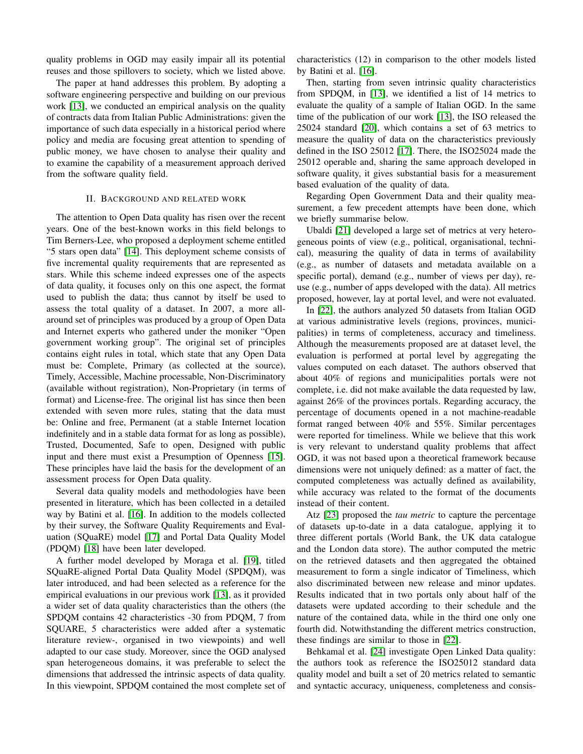quality problems in OGD may easily impair all its potential reuses and those spillovers to society, which we listed above.

The paper at hand addresses this problem. By adopting a software engineering perspective and building on our previous work [\[13\]](#page-7-11), we conducted an empirical analysis on the quality of contracts data from Italian Public Administrations: given the importance of such data especially in a historical period where policy and media are focusing great attention to spending of public money, we have chosen to analyse their quality and to examine the capability of a measurement approach derived from the software quality field.

## II. BACKGROUND AND RELATED WORK

The attention to Open Data quality has risen over the recent years. One of the best-known works in this field belongs to Tim Berners-Lee, who proposed a deployment scheme entitled "5 stars open data" [\[14\]](#page-7-12). This deployment scheme consists of five incremental quality requirements that are represented as stars. While this scheme indeed expresses one of the aspects of data quality, it focuses only on this one aspect, the format used to publish the data; thus cannot by itself be used to assess the total quality of a dataset. In 2007, a more allaround set of principles was produced by a group of Open Data and Internet experts who gathered under the moniker "Open government working group". The original set of principles contains eight rules in total, which state that any Open Data must be: Complete, Primary (as collected at the source), Timely, Accessible, Machine processable, Non-Discriminatory (available without registration), Non-Proprietary (in terms of format) and License-free. The original list has since then been extended with seven more rules, stating that the data must be: Online and free, Permanent (at a stable Internet location indefinitely and in a stable data format for as long as possible), Trusted, Documented, Safe to open, Designed with public input and there must exist a Presumption of Openness [\[15\]](#page-7-13). These principles have laid the basis for the development of an assessment process for Open Data quality.

Several data quality models and methodologies have been presented in literature, which has been collected in a detailed way by Batini et al. [\[16\]](#page-7-14). In addition to the models collected by their survey, the Software Quality Requirements and Evaluation (SQuaRE) model [\[17\]](#page-7-15) and Portal Data Quality Model (PDQM) [\[18\]](#page-7-16) have been later developed.

A further model developed by Moraga et al. [\[19\]](#page-7-17), titled SQuaRE-aligned Portal Data Quality Model (SPDQM), was later introduced, and had been selected as a reference for the empirical evaluations in our previous work [\[13\]](#page-7-11), as it provided a wider set of data quality characteristics than the others (the SPDQM contains 42 characteristics -30 from PDQM, 7 from SQUARE, 5 characteristics were added after a systematic literature review-, organised in two viewpoints) and well adapted to our case study. Moreover, since the OGD analysed span heterogeneous domains, it was preferable to select the dimensions that addressed the intrinsic aspects of data quality. In this viewpoint, SPDQM contained the most complete set of characteristics (12) in comparison to the other models listed by Batini et al. [\[16\]](#page-7-14).

Then, starting from seven intrinsic quality characteristics from SPDQM, in [\[13\]](#page-7-11), we identified a list of 14 metrics to evaluate the quality of a sample of Italian OGD. In the same time of the publication of our work [\[13\]](#page-7-11), the ISO released the 25024 standard [\[20\]](#page-7-18), which contains a set of 63 metrics to measure the quality of data on the characteristics previously defined in the ISO 25012 [\[17\]](#page-7-15). There, the ISO25024 made the 25012 operable and, sharing the same approach developed in software quality, it gives substantial basis for a measurement based evaluation of the quality of data.

Regarding Open Government Data and their quality measurement, a few precedent attempts have been done, which we briefly summarise below.

Ubaldi [\[21\]](#page-7-19) developed a large set of metrics at very heterogeneous points of view (e.g., political, organisational, technical), measuring the quality of data in terms of availability (e.g., as number of datasets and metadata available on a specific portal), demand (e.g., number of views per day), reuse (e.g., number of apps developed with the data). All metrics proposed, however, lay at portal level, and were not evaluated.

In [\[22\]](#page-7-20), the authors analyzed 50 datasets from Italian OGD at various administrative levels (regions, provinces, municipalities) in terms of completeness, accuracy and timeliness. Although the measurements proposed are at dataset level, the evaluation is performed at portal level by aggregating the values computed on each dataset. The authors observed that about 40% of regions and municipalities portals were not complete, i.e. did not make available the data requested by law, against 26% of the provinces portals. Regarding accuracy, the percentage of documents opened in a not machine-readable format ranged between 40% and 55%. Similar percentages were reported for timeliness. While we believe that this work is very relevant to understand quality problems that affect OGD, it was not based upon a theoretical framework because dimensions were not uniquely defined: as a matter of fact, the computed completeness was actually defined as availability, while accuracy was related to the format of the documents instead of their content.

Atz [\[23\]](#page-7-21) proposed the *tau metric* to capture the percentage of datasets up-to-date in a data catalogue, applying it to three different portals (World Bank, the UK data catalogue and the London data store). The author computed the metric on the retrieved datasets and then aggregated the obtained measurement to form a single indicator of Timeliness, which also discriminated between new release and minor updates. Results indicated that in two portals only about half of the datasets were updated according to their schedule and the nature of the contained data, while in the third one only one fourth did. Notwithstanding the different metrics construction, these findings are similar to those in [\[22\]](#page-7-20).

Behkamal et al. [\[24\]](#page-7-22) investigate Open Linked Data quality: the authors took as reference the ISO25012 standard data quality model and built a set of 20 metrics related to semantic and syntactic accuracy, uniqueness, completeness and consis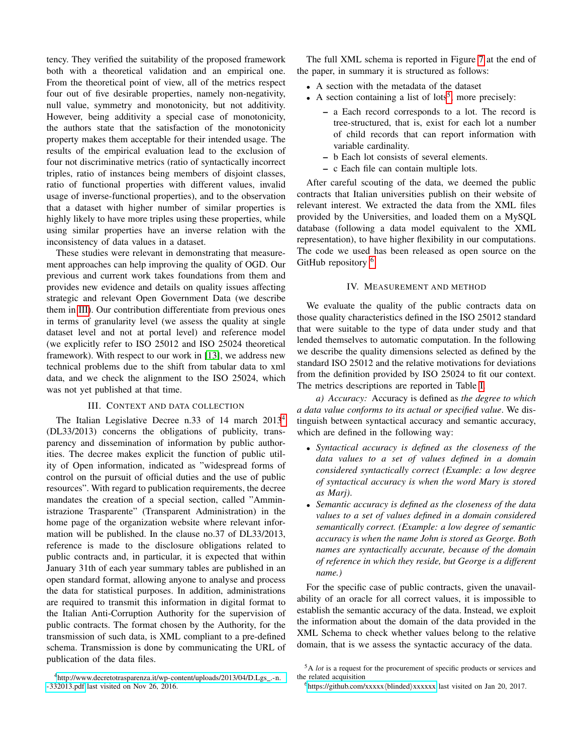tency. They verified the suitability of the proposed framework both with a theoretical validation and an empirical one. From the theoretical point of view, all of the metrics respect four out of five desirable properties, namely non-negativity, null value, symmetry and monotonicity, but not additivity. However, being additivity a special case of monotonicity, the authors state that the satisfaction of the monotonicity property makes them acceptable for their intended usage. The results of the empirical evaluation lead to the exclusion of four not discriminative metrics (ratio of syntactically incorrect triples, ratio of instances being members of disjoint classes, ratio of functional properties with different values, invalid usage of inverse-functional properties), and to the observation that a dataset with higher number of similar properties is highly likely to have more triples using these properties, while using similar properties have an inverse relation with the inconsistency of data values in a dataset.

These studies were relevant in demonstrating that measurement approaches can help improving the quality of OGD. Our previous and current work takes foundations from them and provides new evidence and details on quality issues affecting strategic and relevant Open Government Data (we describe them in [III\)](#page-2-0). Our contribution differentiate from previous ones in terms of granularity level (we assess the quality at single dataset level and not at portal level) and reference model (we explicitly refer to ISO 25012 and ISO 25024 theoretical framework). With respect to our work in [\[13\]](#page-7-11), we address new technical problems due to the shift from tabular data to xml data, and we check the alignment to the ISO 25024, which was not yet published at that time.

#### III. CONTEXT AND DATA COLLECTION

<span id="page-2-0"></span>The Italian Legislative Decree n.33 of 1[4](#page-2-1) march 2013<sup>4</sup> (DL33/2013) concerns the obligations of publicity, transparency and dissemination of information by public authorities. The decree makes explicit the function of public utility of Open information, indicated as "widespread forms of control on the pursuit of official duties and the use of public resources". With regard to publication requirements, the decree mandates the creation of a special section, called "Amministrazione Trasparente" (Transparent Administration) in the home page of the organization website where relevant information will be published. In the clause no.37 of DL33/2013, reference is made to the disclosure obligations related to public contracts and, in particular, it is expected that within January 31th of each year summary tables are published in an open standard format, allowing anyone to analyse and process the data for statistical purposes. In addition, administrations are required to transmit this information in digital format to the Italian Anti-Corruption Authority for the supervision of public contracts. The format chosen by the Authority, for the transmission of such data, is XML compliant to a pre-defined schema. Transmission is done by communicating the URL of publication of the data files.

The full XML schema is reported in Figure [7](#page-9-0) at the end of the paper, in summary it is structured as follows:

- A section with the metadata of the dataset
- A section containing a list of lots<sup>[5](#page-2-2)</sup>, more precisely:
	- a Each record corresponds to a lot. The record is tree-structured, that is, exist for each lot a number of child records that can report information with variable cardinality.
	- b Each lot consists of several elements.
	- c Each file can contain multiple lots.

After careful scouting of the data, we deemed the public contracts that Italian universities publish on their website of relevant interest. We extracted the data from the XML files provided by the Universities, and loaded them on a MySQL database (following a data model equivalent to the XML representation), to have higher flexibility in our computations. The code we used has been released as open source on the GitHub repository <sup>[6](#page-2-3)</sup>.

## IV. MEASUREMENT AND METHOD

We evaluate the quality of the public contracts data on those quality characteristics defined in the ISO 25012 standard that were suitable to the type of data under study and that lended themselves to automatic computation. In the following we describe the quality dimensions selected as defined by the standard ISO 25012 and the relative motivations for deviations from the definition provided by ISO 25024 to fit our context. The metrics descriptions are reported in Table [I.](#page-8-0)

*a) Accuracy:* Accuracy is defined as *the degree to which a data value conforms to its actual or specified value*. We distinguish between syntactical accuracy and semantic accuracy, which are defined in the following way:

- *Syntactical accuracy is defined as the closeness of the data values to a set of values defined in a domain considered syntactically correct (Example: a low degree of syntactical accuracy is when the word Mary is stored as Marj)*.
- *Semantic accuracy is defined as the closeness of the data values to a set of values defined in a domain considered semantically correct. (Example: a low degree of semantic accuracy is when the name John is stored as George. Both names are syntactically accurate, because of the domain of reference in which they reside, but George is a different name.)*

For the specific case of public contracts, given the unavailability of an oracle for all correct values, it is impossible to establish the semantic accuracy of the data. Instead, we exploit the information about the domain of the data provided in the XML Schema to check whether values belong to the relative domain, that is we assess the syntactic accuracy of the data.

<span id="page-2-1"></span><sup>4</sup>[http://www.decretotrasparenza.it/wp-content/uploads/2013/04/D.Lgs](http://www.decretotrasparenza.it/wp-content/uploads/2013/04/D.Lgs_.-n.-332013.pdf) .-n. [-332013.pdf](http://www.decretotrasparenza.it/wp-content/uploads/2013/04/D.Lgs_.-n.-332013.pdf) last visited on Nov 26, 2016.

<span id="page-2-2"></span><sup>5</sup>A *lot* is a request for the procurement of specific products or services and the related acquisition

<span id="page-2-3"></span> $6$ [https://github.com/xxxxx](https://github.com/xxxxx<blinded>xxxxxx) $\blacksquare$ blinded $\rangle$ xxxxxx last visited on Jan 20, 2017.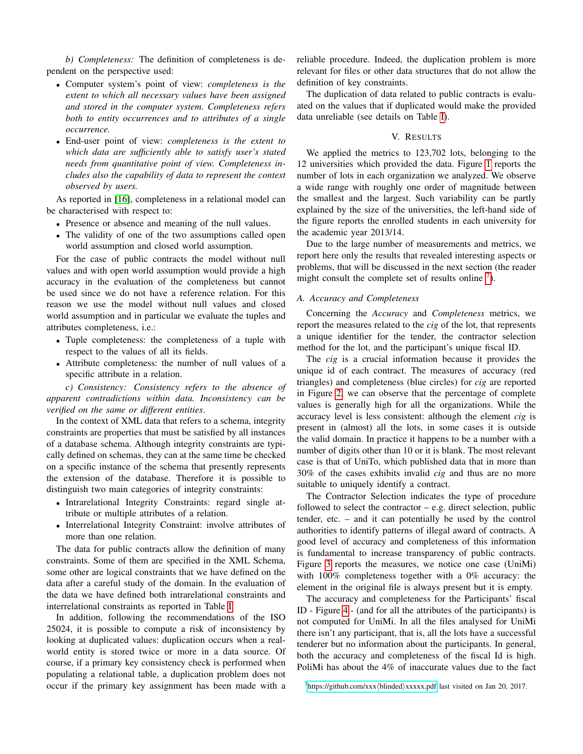*b) Completeness:* The definition of completeness is dependent on the perspective used:

- Computer system's point of view: *completeness is the extent to which all necessary values have been assigned and stored in the computer system. Completeness refers both to entity occurrences and to attributes of a single occurrence.*
- End-user point of view: *completeness is the extent to which data are sufficiently able to satisfy user's stated needs from quantitative point of view. Completeness includes also the capability of data to represent the context observed by users.*

As reported in [\[16\]](#page-7-14), completeness in a relational model can be characterised with respect to:

- Presence or absence and meaning of the null values.
- The validity of one of the two assumptions called open world assumption and closed world assumption.

For the case of public contracts the model without null values and with open world assumption would provide a high accuracy in the evaluation of the completeness but cannot be used since we do not have a reference relation. For this reason we use the model without null values and closed world assumption and in particular we evaluate the tuples and attributes completeness, i.e.:

- Tuple completeness: the completeness of a tuple with respect to the values of all its fields.
- Attribute completeness: the number of null values of a specific attribute in a relation.

*c) Consistency: Consistency refers to the absence of apparent contradictions within data. Inconsistency can be verified on the same or different entities*.

In the context of XML data that refers to a schema, integrity constraints are properties that must be satisfied by all instances of a database schema. Although integrity constraints are typically defined on schemas, they can at the same time be checked on a specific instance of the schema that presently represents the extension of the database. Therefore it is possible to distinguish two main categories of integrity constraints:

- Intrarelational Integrity Constraints: regard single attribute or multiple attributes of a relation.
- Interrelational Integrity Constraint: involve attributes of more than one relation.

The data for public contracts allow the definition of many constraints. Some of them are specified in the XML Schema, some other are logical constraints that we have defined on the data after a careful study of the domain. In the evaluation of the data we have defined both intrarelational constraints and interrelational constraints as reported in Table [I.](#page-8-0)

In addition, following the recommendations of the ISO 25024, it is possible to compute a risk of inconsistency by looking at duplicated values: duplication occurs when a realworld entity is stored twice or more in a data source. Of course, if a primary key consistency check is performed when populating a relational table, a duplication problem does not occur if the primary key assignment has been made with a

reliable procedure. Indeed, the duplication problem is more relevant for files or other data structures that do not allow the definition of key constraints.

The duplication of data related to public contracts is evaluated on the values that if duplicated would make the provided data unreliable (see details on Table [I\)](#page-8-0).

## V. RESULTS

<span id="page-3-1"></span>We applied the metrics to 123,702 lots, belonging to the 12 universities which provided the data. Figure [1](#page-4-0) reports the number of lots in each organization we analyzed. We observe a wide range with roughly one order of magnitude between the smallest and the largest. Such variability can be partly explained by the size of the universities, the left-hand side of the figure reports the enrolled students in each university for the academic year 2013/14.

Due to the large number of measurements and metrics, we report here only the results that revealed interesting aspects or problems, that will be discussed in the next section (the reader might consult the complete set of results online  $<sup>7</sup>$  $<sup>7</sup>$  $<sup>7</sup>$ ).</sup>

# *A. Accuracy and Completeness*

Concerning the *Accuracy* and *Completeness* metrics, we report the measures related to the *cig* of the lot, that represents a unique identifier for the tender, the contractor selection method for the lot, and the participant's unique fiscal ID.

The *cig* is a crucial information because it provides the unique id of each contract. The measures of accuracy (red triangles) and completeness (blue circles) for *cig* are reported in Figure [2;](#page-4-1) we can observe that the percentage of complete values is generally high for all the organizations. While the accuracy level is less consistent: although the element *cig* is present in (almost) all the lots, in some cases it is outside the valid domain. In practice it happens to be a number with a number of digits other than 10 or it is blank. The most relevant case is that of UniTo, which published data that in more than 30% of the cases exhibits invalid *cig* and thus are no more suitable to uniquely identify a contract.

The Contractor Selection indicates the type of procedure followed to select the contractor  $-$  e.g. direct selection, public tender, etc. – and it can potentially be used by the control authorities to identify patterns of illegal award of contracts. A good level of accuracy and completeness of this information is fundamental to increase transparency of public contracts. Figure [3](#page-4-2) reports the measures, we notice one case (UniMi) with 100% completeness together with a 0% accuracy: the element in the original file is always present but it is empty.

The accuracy and completeness for the Participants' fiscal ID - Figure [4](#page-5-0) - (and for all the attributes of the participants) is not computed for UniMi. In all the files analysed for UniMi there isn't any participant, that is, all the lots have a successful tenderer but no information about the participants. In general, both the accuracy and completeness of the fiscal Id is high. PoliMi has about the 4% of inaccurate values due to the fact

<span id="page-3-0"></span> $7$ [https://github.com/xxx](https://github.com/xxx<blinded>xxxxx.pdf) $\langle$ blinded $\rangle$ xxxxx.pdf last visited on Jan 20, 2017.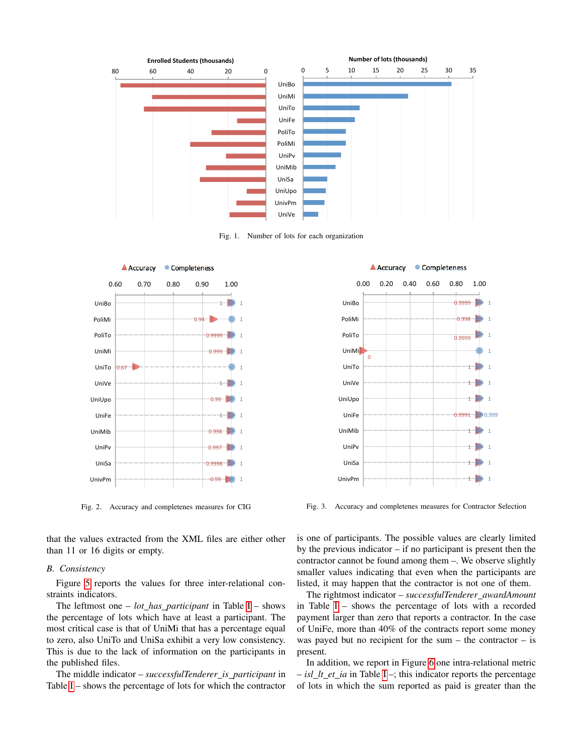

<span id="page-4-0"></span>Fig. 1. Number of lots for each organization



<span id="page-4-1"></span>Fig. 2. Accuracy and completenes measures for CIG

that the values extracted from the XML files are either other than 11 or 16 digits or empty.

### *B. Consistency*

Figure [5](#page-5-1) reports the values for three inter-relational constraints indicators.

The leftmost one – *lot has participant* in Table [I](#page-8-0) – shows the percentage of lots which have at least a participant. The most critical case is that of UniMi that has a percentage equal to zero, also UniTo and UniSa exhibit a very low consistency. This is due to the lack of information on the participants in the published files.

The middle indicator – *successfulTenderer is participant* in Table [I](#page-8-0) – shows the percentage of lots for which the contractor



<span id="page-4-2"></span>Fig. 3. Accuracy and completenes measures for Contractor Selection

is one of participants. The possible values are clearly limited by the previous indicator – if no participant is present then the contractor cannot be found among them –. We observe slightly smaller values indicating that even when the participants are listed, it may happen that the contractor is not one of them.

The rightmost indicator – *successfulTenderer awardAmount* in Table [I](#page-8-0) – shows the percentage of lots with a recorded payment larger than zero that reports a contractor. In the case of UniFe, more than 40% of the contracts report some money was payed but no recipient for the sum – the contractor – is present.

In addition, we report in Figure [6](#page-5-2) one intra-relational metric – *isl lt et ia* in Table [I](#page-8-0) –; this indicator reports the percentage of lots in which the sum reported as paid is greater than the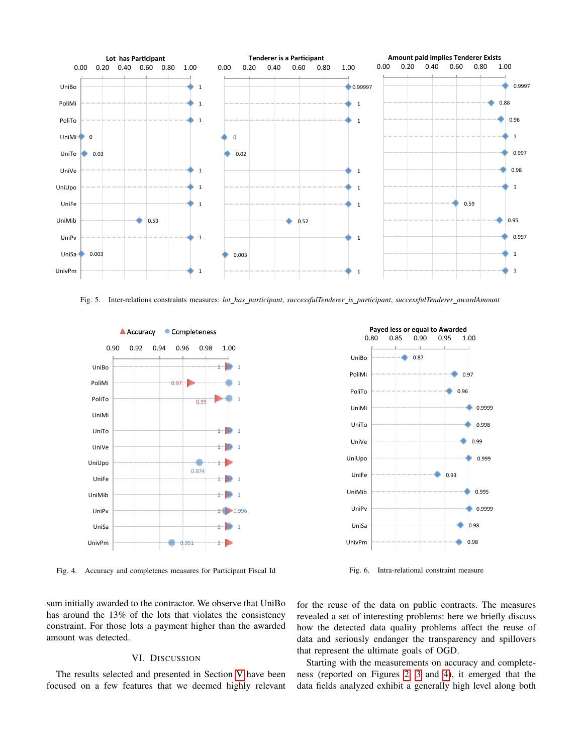

<span id="page-5-1"></span>Fig. 5. Inter-relations constraints measures: *lot has participant*, *successfulTenderer is participant*, *successfulTenderer awardAmount*



<span id="page-5-0"></span>Fig. 4. Accuracy and completenes measures for Participant Fiscal Id



## VI. DISCUSSION

The results selected and presented in Section [V](#page-3-1) have been focused on a few features that we deemed highly relevant



<span id="page-5-2"></span>Fig. 6. Intra-relational constraint measure

for the reuse of the data on public contracts. The measures revealed a set of interesting problems: here we briefly discuss how the detected data quality problems affect the reuse of data and seriously endanger the transparency and spillovers that represent the ultimate goals of OGD.

Starting with the measurements on accuracy and completeness (reported on Figures [2,](#page-4-1) [3](#page-4-2) and [4\)](#page-5-0), it emerged that the data fields analyzed exhibit a generally high level along both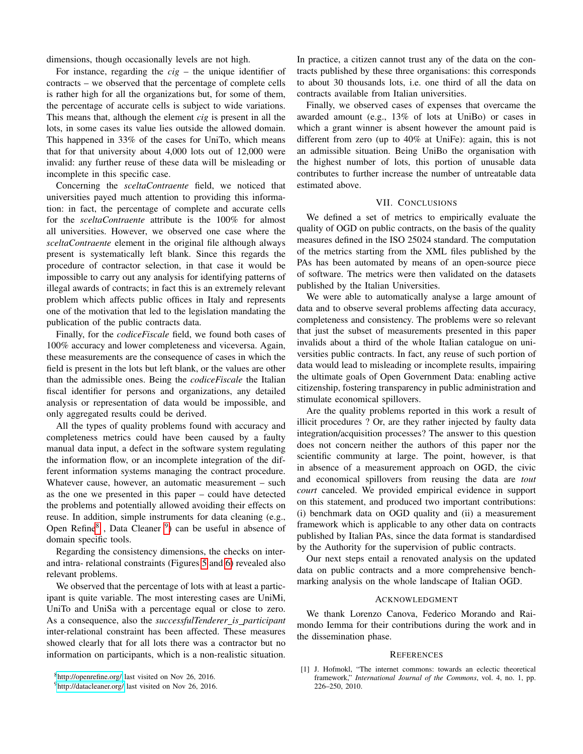dimensions, though occasionally levels are not high.

For instance, regarding the *cig* – the unique identifier of contracts – we observed that the percentage of complete cells is rather high for all the organizations but, for some of them, the percentage of accurate cells is subject to wide variations. This means that, although the element *cig* is present in all the lots, in some cases its value lies outside the allowed domain. This happened in 33% of the cases for UniTo, which means that for that university about 4,000 lots out of 12,000 were invalid: any further reuse of these data will be misleading or incomplete in this specific case.

Concerning the *sceltaContraente* field, we noticed that universities payed much attention to providing this information: in fact, the percentage of complete and accurate cells for the *sceltaContraente* attribute is the 100% for almost all universities. However, we observed one case where the *sceltaContraente* element in the original file although always present is systematically left blank. Since this regards the procedure of contractor selection, in that case it would be impossible to carry out any analysis for identifying patterns of illegal awards of contracts; in fact this is an extremely relevant problem which affects public offices in Italy and represents one of the motivation that led to the legislation mandating the publication of the public contracts data.

Finally, for the *codiceFiscale* field, we found both cases of 100% accuracy and lower completeness and viceversa. Again, these measurements are the consequence of cases in which the field is present in the lots but left blank, or the values are other than the admissible ones. Being the *codiceFiscale* the Italian fiscal identifier for persons and organizations, any detailed analysis or representation of data would be impossible, and only aggregated results could be derived.

All the types of quality problems found with accuracy and completeness metrics could have been caused by a faulty manual data input, a defect in the software system regulating the information flow, or an incomplete integration of the different information systems managing the contract procedure. Whatever cause, however, an automatic measurement – such as the one we presented in this paper – could have detected the problems and potentially allowed avoiding their effects on reuse. In addition, simple instruments for data cleaning (e.g., Open Refine<sup>[8](#page-6-1)</sup>, Data Cleaner<sup>[9](#page-6-2)</sup>) can be useful in absence of domain specific tools.

Regarding the consistency dimensions, the checks on interand intra- relational constraints (Figures [5](#page-5-1) and [6\)](#page-5-2) revealed also relevant problems.

We observed that the percentage of lots with at least a participant is quite variable. The most interesting cases are UniMi, UniTo and UniSa with a percentage equal or close to zero. As a consequence, also the *successfulTenderer is participant* inter-relational constraint has been affected. These measures showed clearly that for all lots there was a contractor but no information on participants, which is a non-realistic situation.

In practice, a citizen cannot trust any of the data on the contracts published by these three organisations: this corresponds to about 30 thousands lots, i.e. one third of all the data on contracts available from Italian universities.

Finally, we observed cases of expenses that overcame the awarded amount (e.g., 13% of lots at UniBo) or cases in which a grant winner is absent however the amount paid is different from zero (up to 40% at UniFe): again, this is not an admissible situation. Being UniBo the organisation with the highest number of lots, this portion of unusable data contributes to further increase the number of untreatable data estimated above.

# VII. CONCLUSIONS

We defined a set of metrics to empirically evaluate the quality of OGD on public contracts, on the basis of the quality measures defined in the ISO 25024 standard. The computation of the metrics starting from the XML files published by the PAs has been automated by means of an open-source piece of software. The metrics were then validated on the datasets published by the Italian Universities.

We were able to automatically analyse a large amount of data and to observe several problems affecting data accuracy, completeness and consistency. The problems were so relevant that just the subset of measurements presented in this paper invalids about a third of the whole Italian catalogue on universities public contracts. In fact, any reuse of such portion of data would lead to misleading or incomplete results, impairing the ultimate goals of Open Government Data: enabling active citizenship, fostering transparency in public administration and stimulate economical spillovers.

Are the quality problems reported in this work a result of illicit procedures ? Or, are they rather injected by faulty data integration/acquisition processes? The answer to this question does not concern neither the authors of this paper nor the scientific community at large. The point, however, is that in absence of a measurement approach on OGD, the civic and economical spillovers from reusing the data are *tout court* canceled. We provided empirical evidence in support on this statement, and produced two important contributions: (i) benchmark data on OGD quality and (ii) a measurement framework which is applicable to any other data on contracts published by Italian PAs, since the data format is standardised by the Authority for the supervision of public contracts.

Our next steps entail a renovated analysis on the updated data on public contracts and a more comprehensive benchmarking analysis on the whole landscape of Italian OGD.

#### ACKNOWLEDGMENT

We thank Lorenzo Canova, Federico Morando and Raimondo Iemma for their contributions during the work and in the dissemination phase.

#### **REFERENCES**

<span id="page-6-0"></span>[1] J. Hofmokl, "The internet commons: towards an eclectic theoretical framework," *International Journal of the Commons*, vol. 4, no. 1, pp. 226–250, 2010.

<span id="page-6-1"></span><sup>8</sup><http://openrefine.org/> last visited on Nov 26, 2016.

<span id="page-6-2"></span><sup>9</sup><http://datacleaner.org/> last visited on Nov 26, 2016.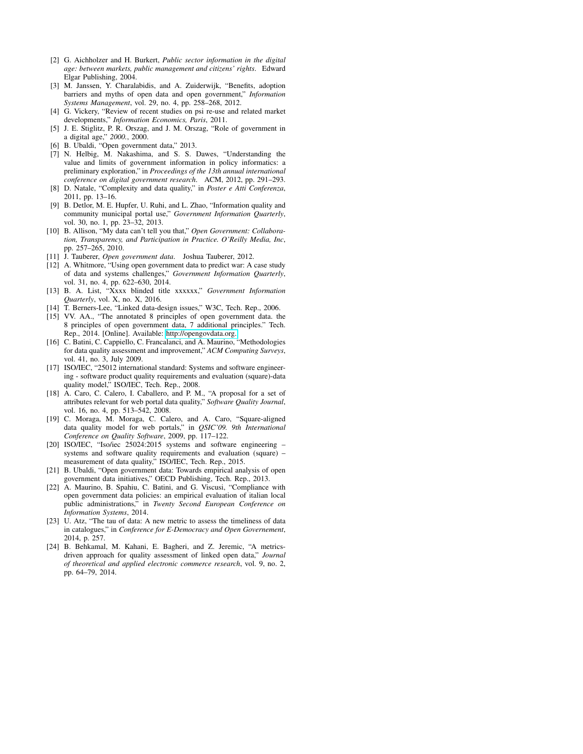- <span id="page-7-0"></span>[2] G. Aichholzer and H. Burkert, *Public sector information in the digital age: between markets, public management and citizens' rights*. Edward Elgar Publishing, 2004.
- <span id="page-7-1"></span>[3] M. Janssen, Y. Charalabidis, and A. Zuiderwijk, "Benefits, adoption barriers and myths of open data and open government," *Information Systems Management*, vol. 29, no. 4, pp. 258–268, 2012.
- <span id="page-7-2"></span>[4] G. Vickery, "Review of recent studies on psi re-use and related market developments," *Information Economics, Paris*, 2011.
- <span id="page-7-3"></span>[5] J. E. Stiglitz, P. R. Orszag, and J. M. Orszag, "Role of government in a digital age," *2000.*, 2000.
- <span id="page-7-4"></span>[6] B. Ubaldi, "Open government data," 2013.
- <span id="page-7-5"></span>[7] N. Helbig, M. Nakashima, and S. S. Dawes, "Understanding the value and limits of government information in policy informatics: a preliminary exploration," in *Proceedings of the 13th annual international conference on digital government research*. ACM, 2012, pp. 291–293.
- <span id="page-7-6"></span>[8] D. Natale, "Complexity and data quality," in *Poster e Atti Conferenza*, 2011, pp. 13–16.
- <span id="page-7-7"></span>[9] B. Detlor, M. E. Hupfer, U. Ruhi, and L. Zhao, "Information quality and community municipal portal use," *Government Information Quarterly*, vol. 30, no. 1, pp. 23–32, 2013.
- <span id="page-7-8"></span>[10] B. Allison, "My data can't tell you that," *Open Government: Collaboration, Transparency, and Participation in Practice. O'Reilly Media, Inc*, pp. 257–265, 2010.
- <span id="page-7-9"></span>[11] J. Tauberer, *Open government data*. Joshua Tauberer, 2012.
- <span id="page-7-10"></span>[12] A. Whitmore, "Using open government data to predict war: A case study of data and systems challenges," *Government Information Quarterly*, vol. 31, no. 4, pp. 622–630, 2014.
- <span id="page-7-11"></span>[13] B. A. List, "Xxxx blinded title xxxxxx," *Government Information Quarterly*, vol. X, no. X, 2016.
- <span id="page-7-12"></span>[14] T. Berners-Lee, "Linked data-design issues," W3C, Tech. Rep., 2006.
- <span id="page-7-13"></span>[15] VV. AA., "The annotated 8 principles of open government data. the 8 principles of open government data, 7 additional principles." Tech. Rep., 2014. [Online]. Available:<http://opengovdata.org.>
- <span id="page-7-14"></span>[16] C. Batini, C. Cappiello, C. Francalanci, and A. Maurino, "Methodologies for data quality assessment and improvement," *ACM Computing Surveys*, vol. 41, no. 3, July 2009.
- <span id="page-7-15"></span>[17] ISO/IEC, "25012 international standard: Systems and software engineering - software product quality requirements and evaluation (square)-data quality model," ISO/IEC, Tech. Rep., 2008.
- <span id="page-7-16"></span>[18] A. Caro, C. Calero, I. Caballero, and P. M., "A proposal for a set of attributes relevant for web portal data quality," *Software Quality Journal*, vol. 16, no. 4, pp. 513–542, 2008.
- <span id="page-7-17"></span>[19] C. Moraga, M. Moraga, C. Calero, and A. Caro, "Square-aligned data quality model for web portals," in *QSIC'09. 9th International Conference on Quality Software*, 2009, pp. 117–122.
- <span id="page-7-18"></span>[20] ISO/IEC, "Iso/iec 25024:2015 systems and software engineering – systems and software quality requirements and evaluation (square) – measurement of data quality," ISO/IEC, Tech. Rep., 2015.
- <span id="page-7-19"></span>[21] B. Ubaldi, "Open government data: Towards empirical analysis of open government data initiatives," OECD Publishing, Tech. Rep., 2013.
- <span id="page-7-20"></span>[22] A. Maurino, B. Spahiu, C. Batini, and G. Viscusi, "Compliance with open government data policies: an empirical evaluation of italian local public administrations," in *Twenty Second European Conference on Information Systems*, 2014.
- <span id="page-7-21"></span>[23] U. Atz, "The tau of data: A new metric to assess the timeliness of data in catalogues," in *Conference for E-Democracy and Open Governement*, 2014, p. 257.
- <span id="page-7-22"></span>[24] B. Behkamal, M. Kahani, E. Bagheri, and Z. Jeremic, "A metricsdriven approach for quality assessment of linked open data," *Journal of theoretical and applied electronic commerce research*, vol. 9, no. 2, pp. 64–79, 2014.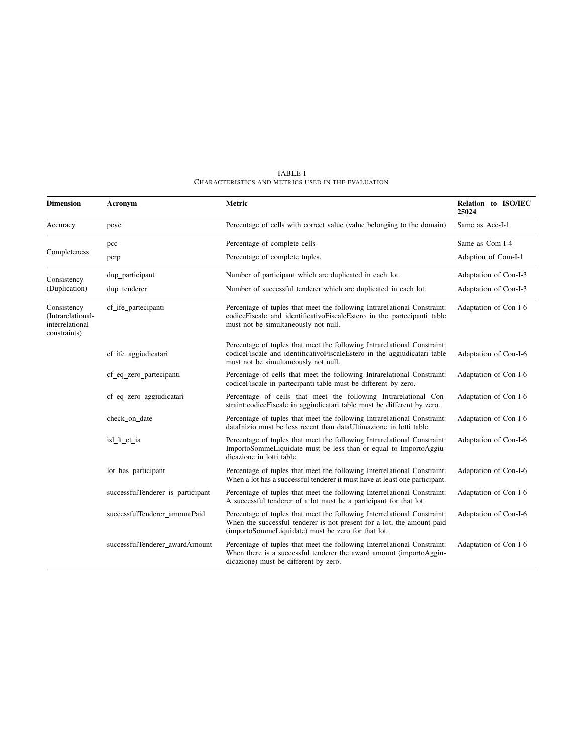<span id="page-8-0"></span>

| <b>Dimension</b>                                                    | Acronym                           | Metric                                                                                                                                                                                                   | Relation to ISO/IEC<br>25024 |
|---------------------------------------------------------------------|-----------------------------------|----------------------------------------------------------------------------------------------------------------------------------------------------------------------------------------------------------|------------------------------|
| Accuracy                                                            | pcvc                              | Percentage of cells with correct value (value belonging to the domain)                                                                                                                                   | Same as Acc-I-1              |
| Completeness                                                        | pcc                               | Percentage of complete cells                                                                                                                                                                             | Same as Com-I-4              |
|                                                                     | pcrp                              | Percentage of complete tuples.                                                                                                                                                                           | Adaption of Com-I-1          |
| Consistency<br>(Duplication)                                        | dup_participant                   | Number of participant which are duplicated in each lot.                                                                                                                                                  | Adaptation of Con-I-3        |
|                                                                     | dup_tenderer                      | Number of successful tenderer which are duplicated in each lot.                                                                                                                                          | Adaptation of Con-I-3        |
| Consistency<br>(Intrarelational-<br>interrelational<br>constraints) | cf_ife_partecipanti               | Percentage of tuples that meet the following Intrarelational Constraint:<br>codiceFiscale and identificativoFiscaleEstero in the partecipanti table<br>must not be simultaneously not null.              | Adaptation of Con-I-6        |
|                                                                     | cf_ife_aggiudicatari              | Percentage of tuples that meet the following Intrarelational Constraint:<br>codiceFiscale and identificativoFiscaleEstero in the aggiudicatari table<br>must not be simultaneously not null.             | Adaptation of Con-I-6        |
|                                                                     | cf_eq_zero_partecipanti           | Percentage of cells that meet the following Intrarelational Constraint:<br>codiceFiscale in partecipanti table must be different by zero.                                                                | Adaptation of Con-I-6        |
|                                                                     | cf_eq_zero_aggiudicatari          | Percentage of cells that meet the following Intrarelational Con-<br>straint:codiceFiscale in aggiudicatari table must be different by zero.                                                              | Adaptation of Con-I-6        |
|                                                                     | check_on_date                     | Percentage of tuples that meet the following Intrarelational Constraint:<br>dataInizio must be less recent than dataUltimazione in lotti table                                                           | Adaptation of Con-I-6        |
|                                                                     | isl_lt_et_ia                      | Percentage of tuples that meet the following Intrarelational Constraint:<br>ImportoSommeLiquidate must be less than or equal to ImportoAggiu-<br>dicazione in lotti table                                | Adaptation of Con-I-6        |
|                                                                     | lot_has_participant               | Percentage of tuples that meet the following Interrelational Constraint:<br>When a lot has a successful tenderer it must have at least one participant.                                                  | Adaptation of Con-I-6        |
|                                                                     | successfulTenderer_is_participant | Percentage of tuples that meet the following Interrelational Constraint:<br>A successful tenderer of a lot must be a participant for that lot.                                                           | Adaptation of Con-I-6        |
|                                                                     | successfulTenderer_amountPaid     | Percentage of tuples that meet the following Interrelational Constraint:<br>When the successful tenderer is not present for a lot, the amount paid<br>(importoSommeLiquidate) must be zero for that lot. | Adaptation of Con-I-6        |
|                                                                     | successfulTenderer_awardAmount    | Percentage of tuples that meet the following Interrelational Constraint:<br>When there is a successful tenderer the award amount (importoAggiu-<br>dicazione) must be different by zero.                 | Adaptation of Con-I-6        |

TABLE I CHARACTERISTICS AND METRICS USED IN THE EVALUATION